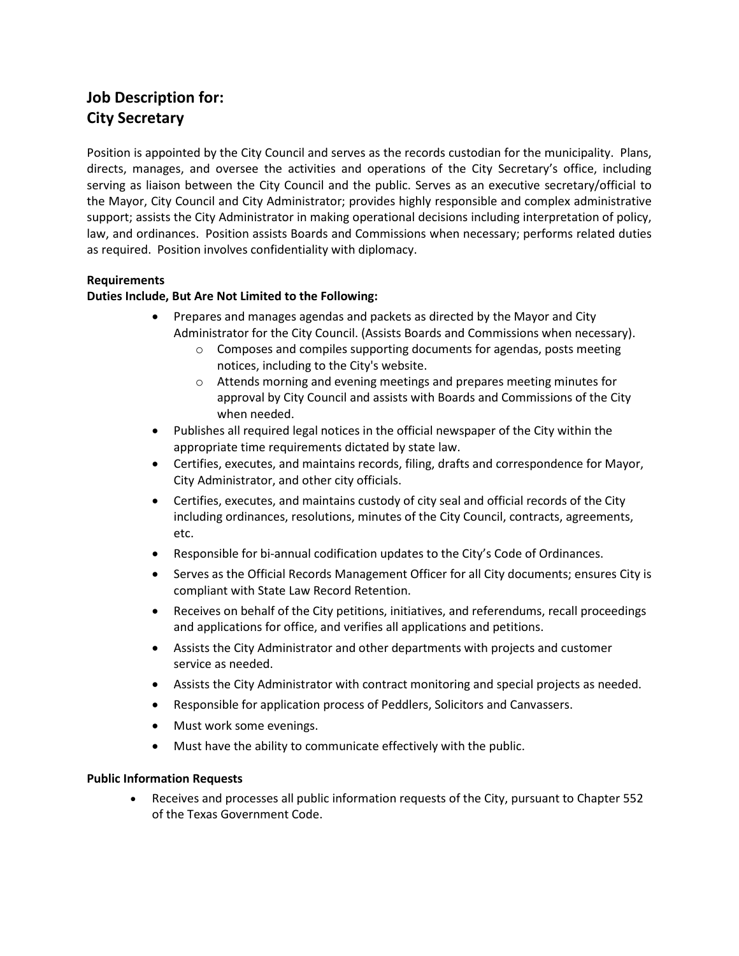# **Job Description for: City Secretary**

Position is appointed by the City Council and serves as the records custodian for the municipality. Plans, directs, manages, and oversee the activities and operations of the City Secretary's office, including serving as liaison between the City Council and the public. Serves as an executive secretary/official to the Mayor, City Council and City Administrator; provides highly responsible and complex administrative support; assists the City Administrator in making operational decisions including interpretation of policy, law, and ordinances. Position assists Boards and Commissions when necessary; performs related duties as required. Position involves confidentiality with diplomacy.

## **Requirements**

## **Duties Include, But Are Not Limited to the Following:**

- Prepares and manages agendas and packets as directed by the Mayor and City Administrator for the City Council. (Assists Boards and Commissions when necessary).
	- o Composes and compiles supporting documents for agendas, posts meeting notices, including to the City's website.
	- o Attends morning and evening meetings and prepares meeting minutes for approval by City Council and assists with Boards and Commissions of the City when needed.
- Publishes all required legal notices in the official newspaper of the City within the appropriate time requirements dictated by state law.
- Certifies, executes, and maintains records, filing, drafts and correspondence for Mayor, City Administrator, and other city officials.
- Certifies, executes, and maintains custody of city seal and official records of the City including ordinances, resolutions, minutes of the City Council, contracts, agreements, etc.
- Responsible for bi-annual codification updates to the City's Code of Ordinances.
- Serves as the Official Records Management Officer for all City documents; ensures City is compliant with State Law Record Retention.
- Receives on behalf of the City petitions, initiatives, and referendums, recall proceedings and applications for office, and verifies all applications and petitions.
- Assists the City Administrator and other departments with projects and customer service as needed.
- Assists the City Administrator with contract monitoring and special projects as needed.
- Responsible for application process of Peddlers, Solicitors and Canvassers.
- Must work some evenings.
- Must have the ability to communicate effectively with the public.

### **Public Information Requests**

• Receives and processes all public information requests of the City, pursuant to Chapter 552 of the Texas Government Code.